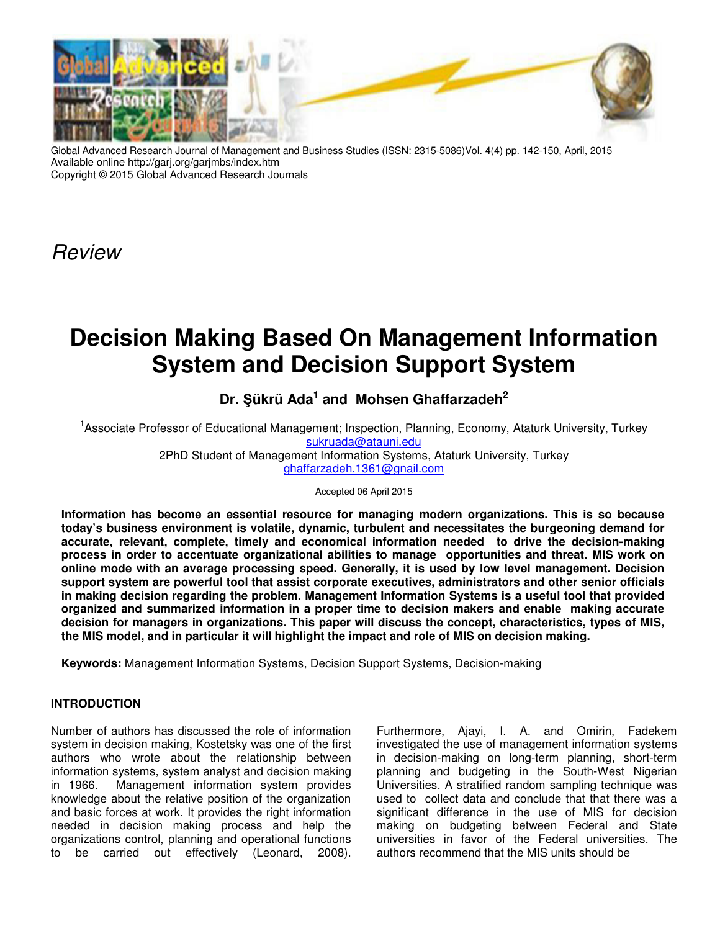

Global Advanced Research Journal of Management and Business Studies (ISSN: 2315-5086)Vol. 4(4) pp. 142-150, April, 2015 Available online http://garj.org/garjmbs/index.htm Copyright © 2015 Global Advanced Research Journals

Review

# **Decision Making Based On Management Information System and Decision Support System**

## **Dr. Şükrü Ada<sup>1</sup> and Mohsen Ghaffarzadeh<sup>2</sup>**

<sup>1</sup> Associate Professor of Educational Management; Inspection, Planning, Economy, Ataturk University, Turkey sukruada@atauni.edu 2PhD Student of Management Information Systems, Ataturk University, Turkey ghaffarzadeh.1361@gnail.com

Accepted 06 April 2015

**Information has become an essential resource for managing modern organizations. This is so because today's business environment is volatile, dynamic, turbulent and necessitates the burgeoning demand for accurate, relevant, complete, timely and economical information needed to drive the decision-making process in order to accentuate organizational abilities to manage opportunities and threat. MIS work on online mode with an average processing speed. Generally, it is used by low level management. Decision support system are powerful tool that assist corporate executives, administrators and other senior officials in making decision regarding the problem. Management Information Systems is a useful tool that provided organized and summarized information in a proper time to decision makers and enable making accurate decision for managers in organizations. This paper will discuss the concept, characteristics, types of MIS, the MIS model, and in particular it will highlight the impact and role of MIS on decision making.** 

**Keywords:** Management Information Systems, Decision Support Systems, Decision-making

## **INTRODUCTION**

Number of authors has discussed the role of information system in decision making, Kostetsky was one of the first authors who wrote about the relationship between information systems, system analyst and decision making in 1966. Management information system provides knowledge about the relative position of the organization and basic forces at work. It provides the right information needed in decision making process and help the organizations control, planning and operational functions to be carried out effectively (Leonard, 2008). Furthermore, Ajayi, I. A. and Omirin, Fadekem investigated the use of management information systems in decision-making on long-term planning, short-term planning and budgeting in the South-West Nigerian Universities. A stratified random sampling technique was used to collect data and conclude that that there was a significant difference in the use of MIS for decision making on budgeting between Federal and State universities in favor of the Federal universities. The authors recommend that the MIS units should be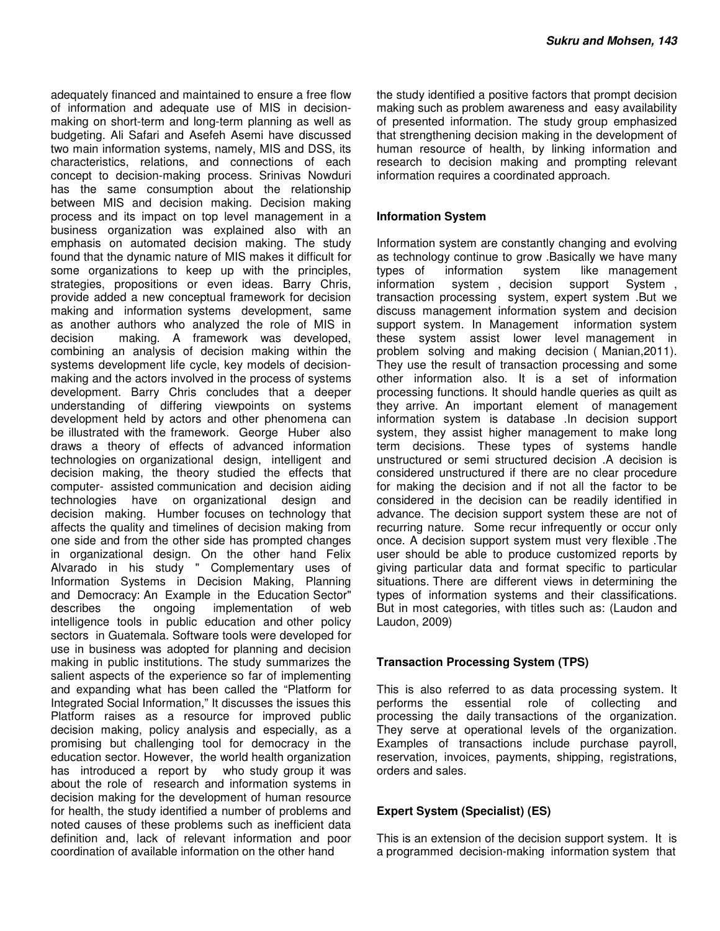adequately financed and maintained to ensure a free flow of information and adequate use of MIS in decisionmaking on short-term and long-term planning as well as budgeting. Ali Safari and Asefeh Asemi have discussed two main information systems, namely, MIS and DSS, its characteristics, relations, and connections of each concept to decision-making process. Srinivas Nowduri has the same consumption about the relationship between MIS and decision making. Decision making process and its impact on top level management in a business organization was explained also with an emphasis on automated decision making. The study found that the dynamic nature of MIS makes it difficult for some organizations to keep up with the principles, strategies, propositions or even ideas. Barry Chris, provide added a new conceptual framework for decision making and information systems development, same as another authors who analyzed the role of MIS in decision making. A framework was developed, combining an analysis of decision making within the systems development life cycle, key models of decisionmaking and the actors involved in the process of systems development. Barry Chris concludes that a deeper understanding of differing viewpoints on systems development held by actors and other phenomena can be illustrated with the framework. George Huber also draws a theory of effects of advanced information technologies on organizational design, intelligent and decision making, the theory studied the effects that computer- assisted communication and decision aiding technologies have on organizational design and decision making. Humber focuses on technology that affects the quality and timelines of decision making from one side and from the other side has prompted changes in organizational design. On the other hand Felix Alvarado in his study " Complementary uses of Information Systems in Decision Making, Planning and Democracy: An Example in the Education Sector" describes the ongoing implementation of web intelligence tools in public education and other policy sectors in Guatemala. Software tools were developed for use in business was adopted for planning and decision making in public institutions. The study summarizes the salient aspects of the experience so far of implementing and expanding what has been called the "Platform for Integrated Social Information," It discusses the issues this Platform raises as a resource for improved public decision making, policy analysis and especially, as a promising but challenging tool for democracy in the education sector. However, the world health organization has introduced a report by who study group it was about the role of research and information systems in decision making for the development of human resource for health, the study identified a number of problems and noted causes of these problems such as inefficient data definition and, lack of relevant information and poor coordination of available information on the other hand

the study identified a positive factors that prompt decision making such as problem awareness and easy availability of presented information. The study group emphasized that strengthening decision making in the development of human resource of health, by linking information and research to decision making and prompting relevant information requires a coordinated approach.

#### **Information System**

Information system are constantly changing and evolving as technology continue to grow .Basically we have many<br>types of information system like management types of information system like management information system , decision support System , transaction processing system, expert system .But we discuss management information system and decision support system. In Management information system these system assist lower level management in problem solving and making decision ( Manian,2011). They use the result of transaction processing and some other information also. It is a set of information processing functions. It should handle queries as quilt as they arrive. An important element of management information system is database .In decision support system, they assist higher management to make long term decisions. These types of systems handle unstructured or semi structured decision .A decision is considered unstructured if there are no clear procedure for making the decision and if not all the factor to be considered in the decision can be readily identified in advance. The decision support system these are not of recurring nature. Some recur infrequently or occur only once. A decision support system must very flexible .The user should be able to produce customized reports by giving particular data and format specific to particular situations. There are different views in determining the types of information systems and their classifications. But in most categories, with titles such as: (Laudon and Laudon, 2009)

## **Transaction Processing System (TPS)**

This is also referred to as data processing system. It performs the essential role of collecting and processing the daily transactions of the organization. They serve at operational levels of the organization. Examples of transactions include purchase payroll, reservation, invoices, payments, shipping, registrations, orders and sales.

## **Expert System (Specialist) (ES)**

This is an extension of the decision support system. It is a programmed decision-making information system that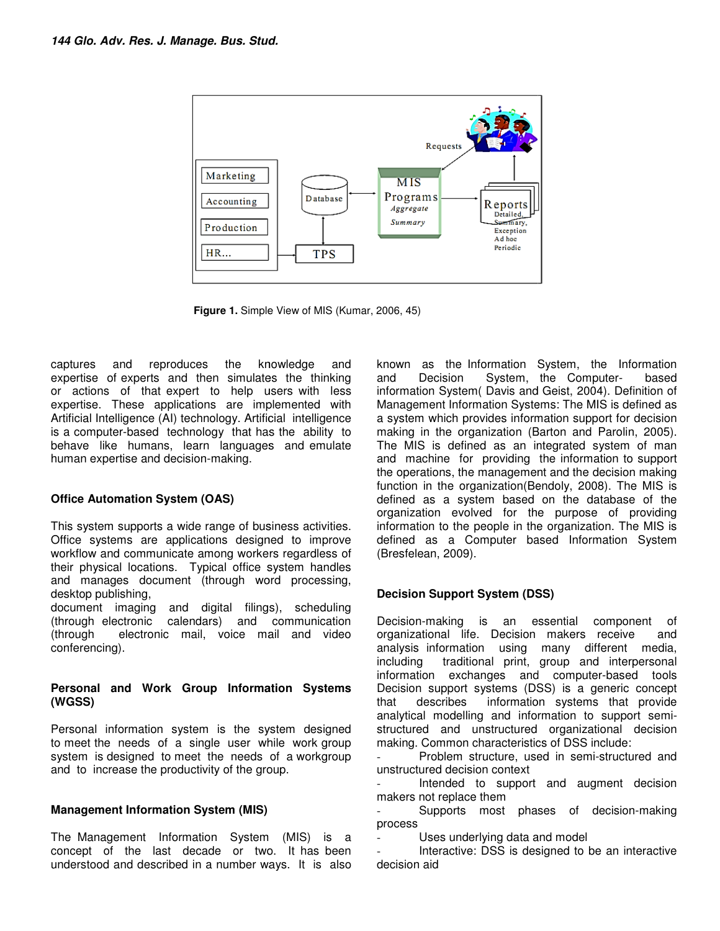

**Figure 1.** Simple View of MIS (Kumar, 2006, 45)

captures and reproduces the knowledge and expertise of experts and then simulates the thinking or actions of that expert to help users with less expertise. These applications are implemented with Artificial Intelligence (AI) technology. Artificial intelligence is a computer-based technology that has the ability to behave like humans, learn languages and emulate human expertise and decision-making. expertise of experts and then simulates the thinking<br>or actions of that expert to help users with less<br>expertise. These applications are implemented with<br>Artificial Intelligence (AI) technology. Artificial intelligence<br>is

#### **Office Automation System (OAS)**

This system supports a wide range of business activities. Office systems are applications designed to improve workflow and communicate among workers regardless of their physical locations. Typical office system handles and manages document (through word processing, desktop publishing,

document imaging and digital filings), scheduling (through electronic calendars) and communication (through electronic mail, voice mail and video conferencing).

#### **Personal and Work Group Information Systems (WGSS)**

Personal information system is the system designed to meet the needs of a single user while work group system is designed to meet the needs of a workgroup and to increase the productivity of the group. ow and communicate among workers regardless of<br>physical locations. Typical office system handles<br>manages document (through word processing,<br>pp publishing,<br>pp publishing,<br>gh electronic calendars) and communication<br>gh electr

## **Management Information System (MIS)**

The Management Information System (MIS) is a concept of the last decade or two. It has been understood and described in a number ways. It is also

way and known as the Information System, the Information System, the Information System (Davis and Geisi, 2004). Delinition and System (Davis and Geisi, 2004). Delinition and System (Davis and Geisia, 2004). Delinition and and Decision System, the Computer- based information System( Davis and Geist, 2004). Definition of Management Information Systems: Information Systems: The MIS is defined as a system which provides information support for decision a system which provides information support for decision<br>making in the organization (Barton and Parolin, 2005). The MIS is defined as an integrated system of man and machine for providing the information to support the operations, the management and the decision making function in the organization(Bendoly, 2008). The MIS is defined as a system based on the database of the organization evolved for the purpose of providing information to the people in the organization. The MIS is defined as a Computer based Information System defined a (Bresfelean, 2009). known as the Information System, the Information The MIS is defined as an integrated system of man and machine for providing the information to support the operations, the management and the decision making function in the organization(Bendoly, 2008). The MIS is defined as a system based on the database of the<br>organization evolved for the purpose of providing<br>information to the people in the organization. The MIS is

## **Decision Support System (DSS) (DSS)**

Decision-making is an essential component of organizational life. Decision makers receive and analysis information using many different media, including traditional print, group and interpersonal information exchanges and computer Decision support systems (DSS) is a generic concept that describes information systems that provide Decision support systems (DSS) is a generic concept<br>that describes information systems that provide<br>analytical modelling and information to support semistructured and unstructured structured unstructured organizational decision making. Common characteristics of DSS include: Decision-making is an essential component of<br>organizational life. Decision makers receive and<br>analysis information using many different media,<br>including traditional print, group and interpersonal<br>information exchanges and

- Problem structure, used in semi-structured and unstructured decision context

- Intended to support and augment decision makers not replace them

- Supports most phases of decision-making process

Uses underlying data and model

- Uses underlying data and model<br>- Interactive: DSS is designed to be an interactive decision aid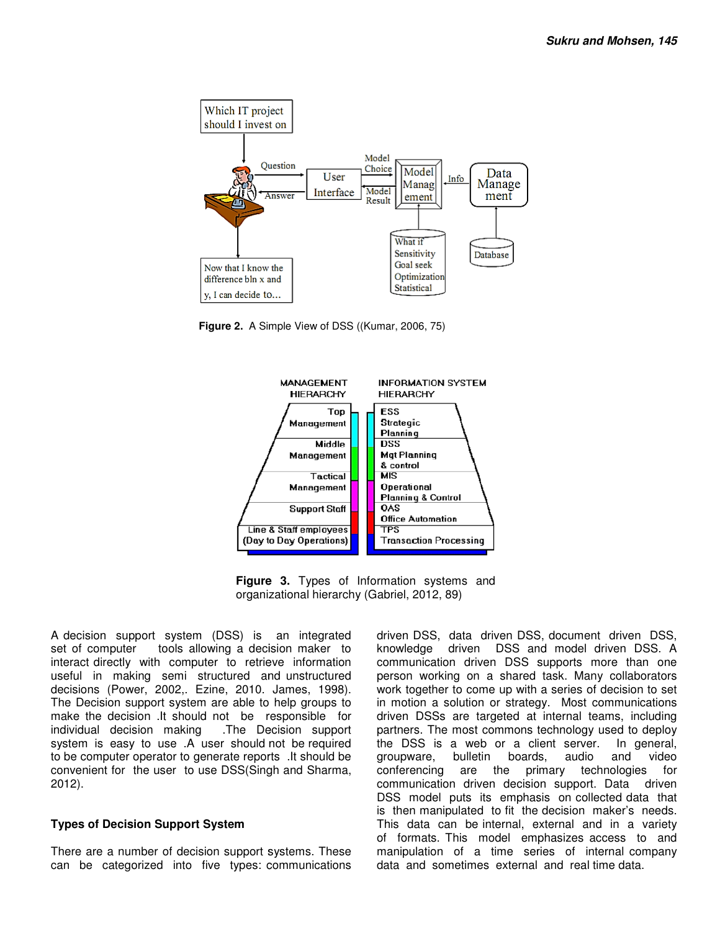

**Figure 2.** A Simple View of DSS ((Kumar, 2006, 75)



**Figure 3.** Types of Information systems and organizational hierarchy (Gabriel, 2012, 89)

A decision support system (DSS) is an integrated set of computer tools allowing a decision maker to interact directly with computer to retrieve information useful in making semi structured and unstructured A decision support system (DSS) is an integrated<br>set of computer tools allowing a decision maker to<br>interact directly with computer to retrieve information<br>useful in making semi structured and unstructured<br>decisions (Power The Decision support system are able to help groups to make the decision .It should not be responsible for<br>individual decision making .The Decision support individual decision making system is easy to use .A user should not be required to be computer operator to generate reports .It should be convenient for the user to use DSS(Singh and Sharma, 2012). The Decision support system are able to help groups to make the decision .It should not be responsible for individual decision making .The Decision support system is easy to use .A user should not be required to be compute

#### **Types of Decision Support System**

There are a number of decision support systems. These can be categorized into five types: communications

be computer system (DSS) is an integrated driven DSS, data driven DSS, document driven DSS, document driven DSS, data driven DSS, document driven DSS, deta driven DSS, deta model driven DSS, deta model driven DSS, deta mod knowledge driven DSS and model driven DSS. A driven DSS, data driven DSS, document driven DSS,<br>knowledge driven DSS and model driven DSS. A<br>communication driven DSS supports more than one person working on a shared task. Many collaborators person working on a shared task. Many collaborators<br>work together to come up with a series of decision to set in motion a solution or strategy. Most communications driven DSSs are targeted at internal teams, including partners. The most commons technology used to deploy the DSS is a web or a client server. groupware, bulletin boards, audio and video conferencing are the primary technologies for communication driven decision support. Data driven DSS model puts its emphasis on collected data that is then manipulated to fit the decision maker's needs. This data can be internal, external and in a variety of formats. This model emphasizes access to and manipulation of a time series of internal company data and sometimes external and real time data. driven DSSs are targeted at internal teams, including<br>partners. The most commons technology used to deploy<br>the DSS is a web or a client server. In general, conferencing are the primary technologies for<br>communication driven decision support. Data driven<br>DSS model puts its emphasis on collected data that<br>is then manipulated to fit the decision maker's needs.<br>This data can be in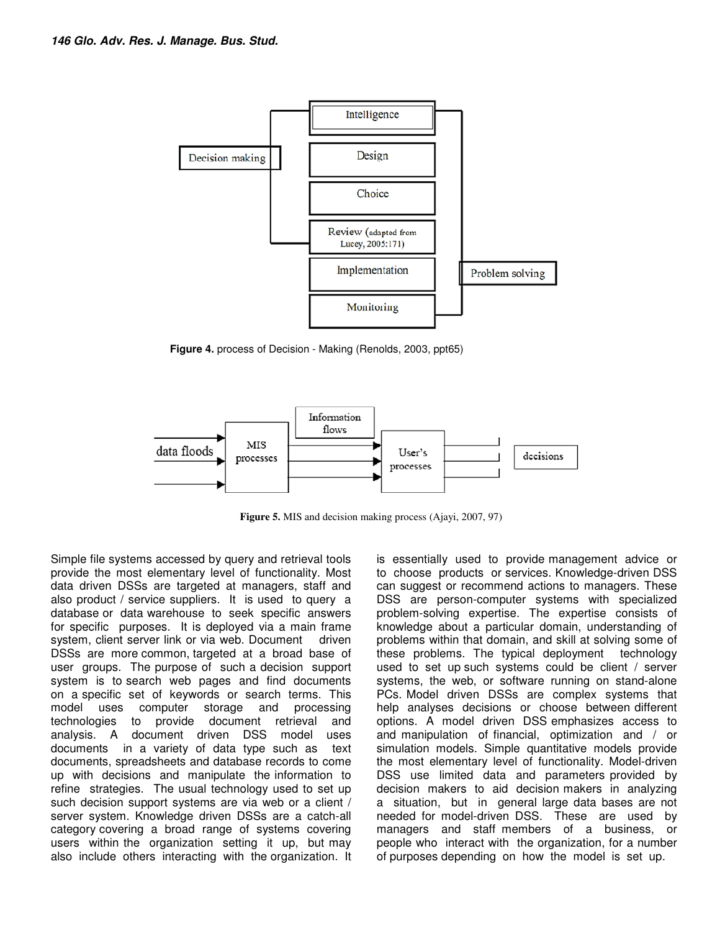

**Figure 4.** process of Decision - Making (Renolds, 2003, ppt65)



**Figure 5.** MIS and decision making process (Ajayi, 2007, 97)

Simple file systems accessed by query and retrieval tools provide the most elementary level of functionality. Most data driven DSSs are targeted at managers, staff and also product / service suppliers. It is used to query a database or data warehouse to seek specific answers for specific purposes. It is deployed via a main frame system, client server link or via web. Document driven DSSs are more common, targeted at a broad base of user groups. The purpose of such a decision support system is to search web pages and find documents on a specific set of keywords or search terms. This model uses computer storage and processing technologies to provide document retrieval and analysis. A document driven DSS model uses documents in a variety of data type such as text documents, spreadsheets and database records to come up with decisions and manipulate the information to refine strategies. The usual technology used to set up such decision support systems are via web or a client / server system. Knowledge driven DSSs are a catch-all category covering a broad range of systems covering users within the organization setting it up, but may also include others interacting with the organization. It is essentially used to provide management advice or to choose products or services. Knowledge-driven DSS can suggest or recommend actions to managers. These DSS are person-computer systems with specialized problem-solving expertise. The expertise consists of knowledge about a particular domain, understanding of problems within that domain, and skill at solving some of these problems. The typical deployment technology used to set up such systems could be client / server systems, the web, or software running on stand-alone PCs. Model driven DSSs are complex systems that help analyses decisions or choose between different options. A model driven DSS emphasizes access to and manipulation of financial, optimization and / or simulation models. Simple quantitative models provide the most elementary level of functionality. Model-driven DSS use limited data and parameters provided by decision makers to aid decision makers in analyzing a situation, but in general large data bases are not needed for model-driven DSS. These are used by managers and staff members of a business, or people who interact with the organization, for a number of purposes depending on how the model is set up.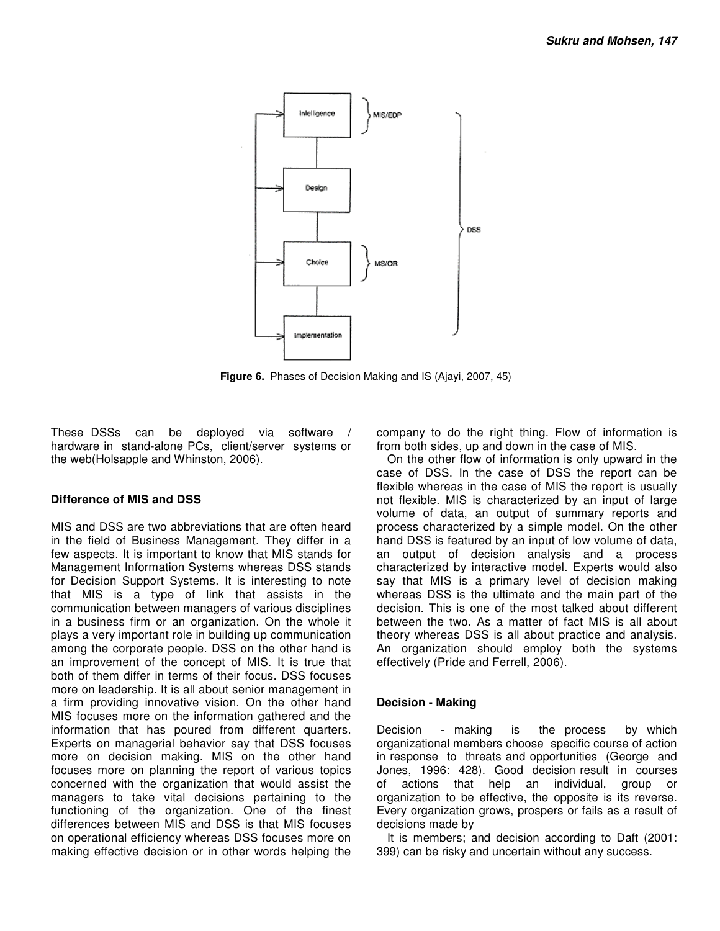

**Figure 6.** Phases of Decision Making and IS (Ajayi, 2007, 45)

These DSSs can be deployed via software / hardware in stand-alone PCs, client/server systems or the web(Holsapple and Whinston, 2006).

#### **Difference of MIS and DSS**

MIS and DSS are two abbreviations that are often heard in the field of Business Management. They differ in a few aspects. It is important to know that MIS stands for Management Information Systems whereas DSS stands for Decision Support Systems. It is interesting to note that MIS is a type of link that assists in the communication between managers of various disciplines in a business firm or an organization. On the whole it plays a very important role in building up communication among the corporate people. DSS on the other hand is an improvement of the concept of MIS. It is true that both of them differ in terms of their focus. DSS focuses more on leadership. It is all about senior management in a firm providing innovative vision. On the other hand MIS focuses more on the information gathered and the information that has poured from different quarters. Experts on managerial behavior say that DSS focuses more on decision making. MIS on the other hand focuses more on planning the report of various topics concerned with the organization that would assist the managers to take vital decisions pertaining to the functioning of the organization. One of the finest differences between MIS and DSS is that MIS focuses on operational efficiency whereas DSS focuses more on making effective decision or in other words helping the

company to do the right thing. Flow of information is from both sides, up and down in the case of MIS.

On the other flow of information is only upward in the case of DSS. In the case of DSS the report can be flexible whereas in the case of MIS the report is usually not flexible. MIS is characterized by an input of large volume of data, an output of summary reports and process characterized by a simple model. On the other hand DSS is featured by an input of low volume of data, an output of decision analysis and a process characterized by interactive model. Experts would also say that MIS is a primary level of decision making whereas DSS is the ultimate and the main part of the decision. This is one of the most talked about different between the two. As a matter of fact MIS is all about theory whereas DSS is all about practice and analysis. An organization should employ both the systems effectively (Pride and Ferrell, 2006).

#### **Decision - Making**

Decision - making is the process by which organizational members choose specific course of action in response to threats and opportunities (George and Jones, 1996: 428). Good decision result in courses of actions that help an individual, group or organization to be effective, the opposite is its reverse. Every organization grows, prospers or fails as a result of decisions made by

It is members; and decision according to Daft (2001: 399) can be risky and uncertain without any success.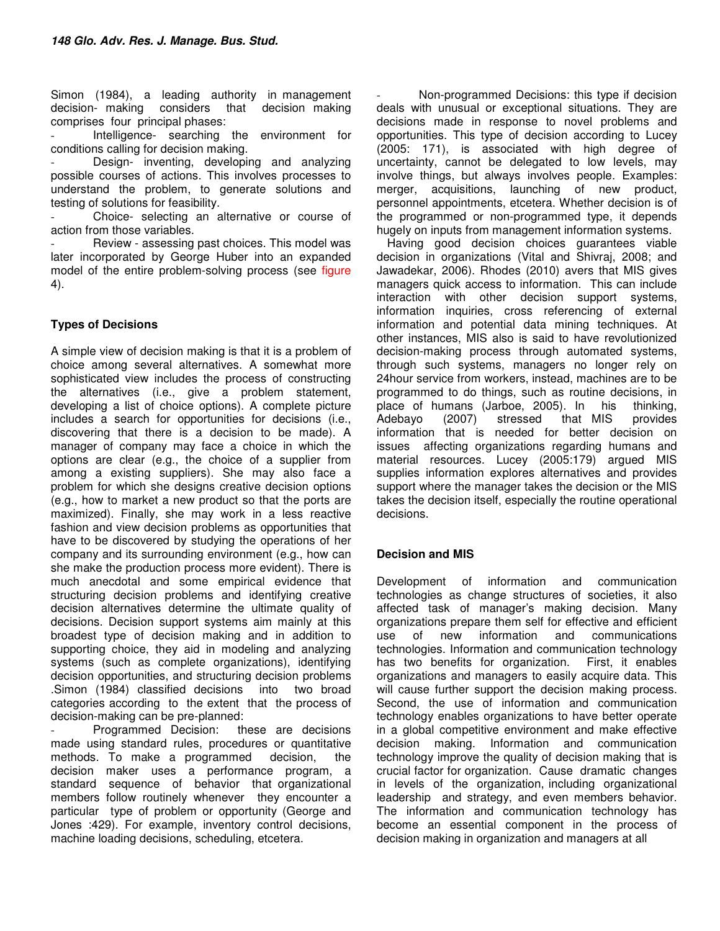Simon (1984), a leading authority in management decision- making considers that decision making comprises four principal phases:

Intelligence- searching the environment for conditions calling for decision making.

Design- inventing, developing and analyzing possible courses of actions. This involves processes to understand the problem, to generate solutions and testing of solutions for feasibility.

- Choice- selecting an alternative or course of action from those variables.

Review - assessing past choices. This model was later incorporated by George Huber into an expanded model of the entire problem-solving process (see figure 4).

## **Types of Decisions**

A simple view of decision making is that it is a problem of choice among several alternatives. A somewhat more sophisticated view includes the process of constructing the alternatives (i.e., give a problem statement, developing a list of choice options). A complete picture includes a search for opportunities for decisions (i.e., discovering that there is a decision to be made). A manager of company may face a choice in which the options are clear (e.g., the choice of a supplier from among a existing suppliers). She may also face a problem for which she designs creative decision options (e.g., how to market a new product so that the ports are maximized). Finally, she may work in a less reactive fashion and view decision problems as opportunities that have to be discovered by studying the operations of her company and its surrounding environment (e.g., how can she make the production process more evident). There is much anecdotal and some empirical evidence that structuring decision problems and identifying creative decision alternatives determine the ultimate quality of decisions. Decision support systems aim mainly at this broadest type of decision making and in addition to supporting choice, they aid in modeling and analyzing systems (such as complete organizations), identifying decision opportunities, and structuring decision problems .Simon (1984) classified decisions into two broad categories according to the extent that the process of decision-making can be pre-planned:

Programmed Decision: these are decisions made using standard rules, procedures or quantitative methods. To make a programmed decision, the decision maker uses a performance program, a standard sequence of behavior that organizational members follow routinely whenever they encounter a particular type of problem or opportunity (George and Jones :429). For example, inventory control decisions, machine loading decisions, scheduling, etcetera.

Non-programmed Decisions: this type if decision deals with unusual or exceptional situations. They are decisions made in response to novel problems and opportunities. This type of decision according to Lucey (2005: 171), is associated with high degree of uncertainty, cannot be delegated to low levels, may involve things, but always involves people. Examples: merger, acquisitions, launching of new product, personnel appointments, etcetera. Whether decision is of the programmed or non-programmed type, it depends hugely on inputs from management information systems.

Having good decision choices guarantees viable decision in organizations (Vital and Shivraj, 2008; and Jawadekar, 2006). Rhodes (2010) avers that MIS gives managers quick access to information. This can include interaction with other decision support systems, information inquiries, cross referencing of external information and potential data mining techniques. At other instances, MIS also is said to have revolutionized decision-making process through automated systems, through such systems, managers no longer rely on 24hour service from workers, instead, machines are to be programmed to do things, such as routine decisions, in place of humans (Jarboe, 2005). In his thinking, Adebayo (2007) stressed that MIS provides information that is needed for better decision on issues affecting organizations regarding humans and material resources. Lucey (2005:179) argued MIS supplies information explores alternatives and provides support where the manager takes the decision or the MIS takes the decision itself, especially the routine operational decisions.

## **Decision and MIS**

Development of information and communication technologies as change structures of societies, it also affected task of manager's making decision. Many organizations prepare them self for effective and efficient use of new information and communications technologies. Information and communication technology has two benefits for organization. First, it enables organizations and managers to easily acquire data. This will cause further support the decision making process. Second, the use of information and communication technology enables organizations to have better operate in a global competitive environment and make effective decision making. Information and communication technology improve the quality of decision making that is crucial factor for organization. Cause dramatic changes in levels of the organization, including organizational leadership and strategy, and even members behavior. The information and communication technology has become an essential component in the process of decision making in organization and managers at all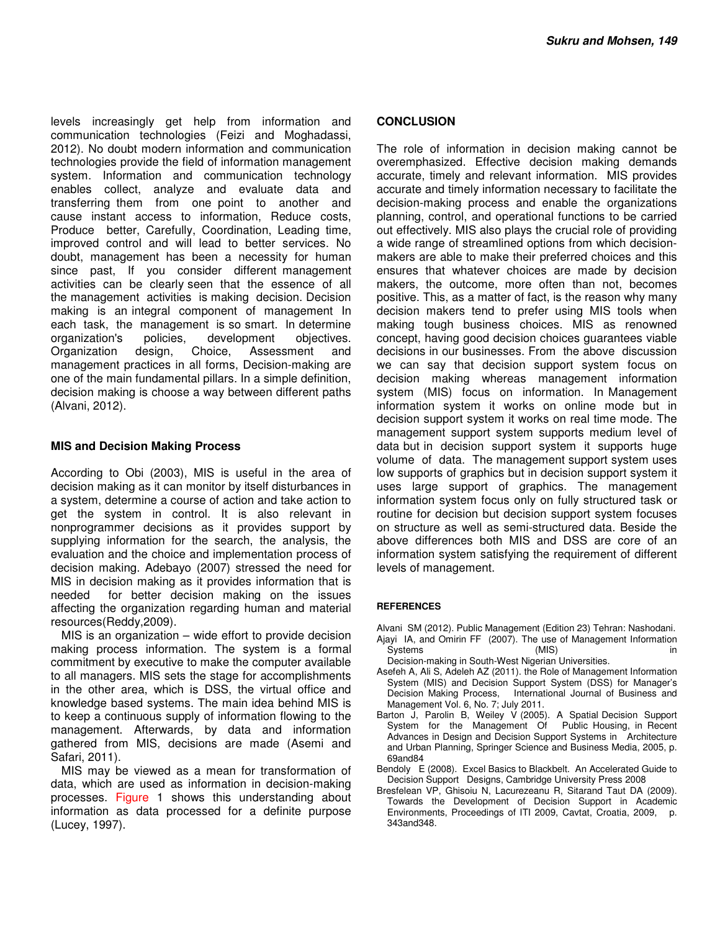levels increasingly get help from information and communication technologies (Feizi and Moghadassi, 2012). No doubt modern information and communication technologies provide the field of information management system. Information and communication technology enables collect, analyze and evaluate data and transferring them from one point to another and cause instant access to information, Reduce costs, Produce better, Carefully, Coordination, Leading time, improved control and will lead to better services. No doubt, management has been a necessity for human since past, If you consider different management activities can be clearly seen that the essence of all the management activities is making decision. Decision making is an integral component of management In each task, the management is so smart. In determine organization's policies, development objectives.<br>Organization design, Choice, Assessment and Organization design, Choice, Assessment and management practices in all forms, Decision-making are one of the main fundamental pillars. In a simple definition, decision making is choose a way between different paths (Alvani, 2012).

#### **MIS and Decision Making Process**

According to Obi (2003), MIS is useful in the area of decision making as it can monitor by itself disturbances in a system, determine a course of action and take action to get the system in control. It is also relevant in nonprogrammer decisions as it provides support by supplying information for the search, the analysis, the evaluation and the choice and implementation process of decision making. Adebayo (2007) stressed the need for MIS in decision making as it provides information that is needed for better decision making on the issues affecting the organization regarding human and material resources(Reddy,2009).

MIS is an organization – wide effort to provide decision making process information. The system is a formal commitment by executive to make the computer available to all managers. MIS sets the stage for accomplishments in the other area, which is DSS, the virtual office and knowledge based systems. The main idea behind MIS is to keep a continuous supply of information flowing to the management. Afterwards, by data and information gathered from MIS, decisions are made (Asemi and Safari, 2011).

MIS may be viewed as a mean for transformation of data, which are used as information in decision-making processes. Figure 1 shows this understanding about information as data processed for a definite purpose (Lucey, 1997).

#### **CONCLUSION**

The role of information in decision making cannot be overemphasized. Effective decision making demands accurate, timely and relevant information. MIS provides accurate and timely information necessary to facilitate the decision-making process and enable the organizations planning, control, and operational functions to be carried out effectively. MIS also plays the crucial role of providing a wide range of streamlined options from which decisionmakers are able to make their preferred choices and this ensures that whatever choices are made by decision makers, the outcome, more often than not, becomes positive. This, as a matter of fact, is the reason why many decision makers tend to prefer using MIS tools when making tough business choices. MIS as renowned concept, having good decision choices guarantees viable decisions in our businesses. From the above discussion we can say that decision support system focus on decision making whereas management information system (MIS) focus on information. In Management information system it works on online mode but in decision support system it works on real time mode. The management support system supports medium level of data but in decision support system it supports huge volume of data. The management support system uses low supports of graphics but in decision support system it uses large support of graphics. The management information system focus only on fully structured task or routine for decision but decision support system focuses on structure as well as semi-structured data. Beside the above differences both MIS and DSS are core of an information system satisfying the requirement of different levels of management.

#### **REFERENCES**

Alvani SM (2012). Public Management (Edition 23) Tehran: Nashodani. Ajayi IA, and Omirin FF (2007). The use of Management Information Systems (MIS) in

- Decision-making in South-West Nigerian Universities.
- Asefeh A, Ali S, Adeleh AZ (2011). the Role of Management Information System (MIS) and Decision Support System (DSS) for Manager's Decision Making Process, International Journal of Business and Management Vol. 6, No. 7; July 2011.
- Barton J, Parolin B, Weiley V (2005). A Spatial Decision Support System for the Management Of Public Housing, in Recent System for the Management Of Advances in Design and Decision Support Systems in Architecture and Urban Planning, Springer Science and Business Media, 2005, p. 69and84
- Bendoly E (2008). Excel Basics to Blackbelt. An Accelerated Guide to Decision Support Designs, Cambridge University Press 2008
- Bresfelean VP, Ghisoiu N, Lacurezeanu R, Sitarand Taut DA (2009). Towards the Development of Decision Support in Academic Environments, Proceedings of ITI 2009, Cavtat, Croatia, 2009, p. 343and348.